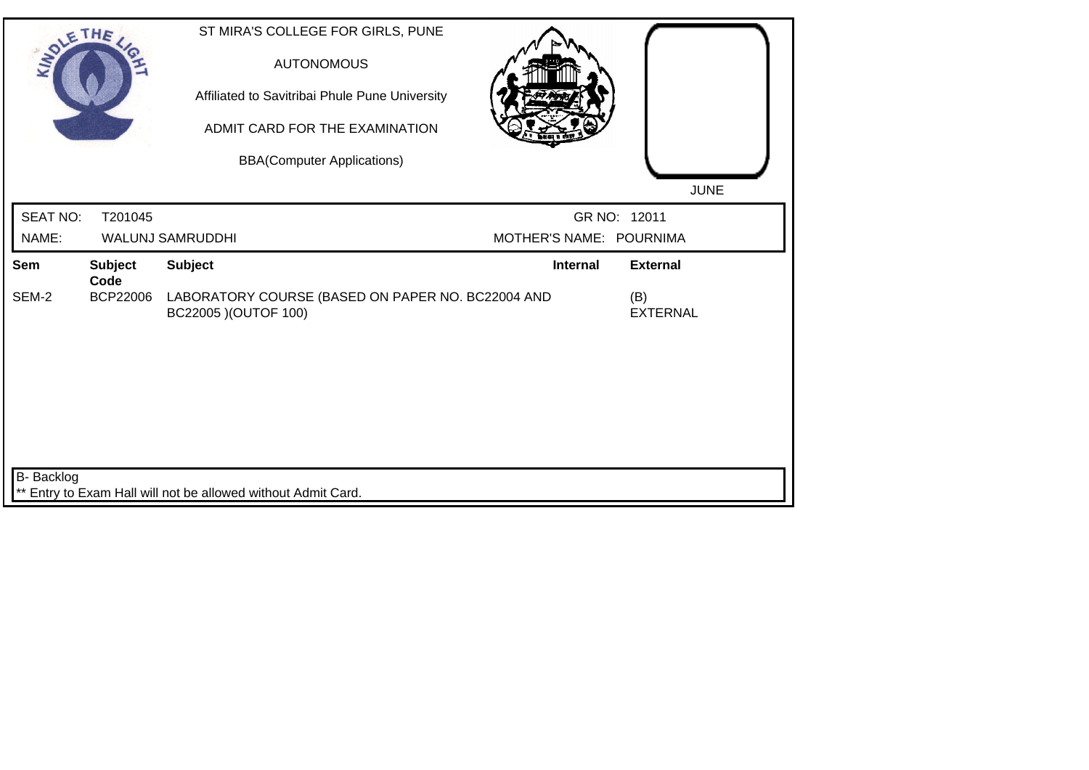| SOLE THE        |                        | ST MIRA'S COLLEGE FOR GIRLS, PUNE<br><b>AUTONOMOUS</b><br>Affiliated to Savitribai Phule Pune University<br>ADMIT CARD FOR THE EXAMINATION<br><b>BBA(Computer Applications)</b> |                         | <b>JUNE</b>            |
|-----------------|------------------------|---------------------------------------------------------------------------------------------------------------------------------------------------------------------------------|-------------------------|------------------------|
| <b>SEAT NO:</b> | T201045                |                                                                                                                                                                                 |                         | GR NO: 12011           |
| NAME:           |                        | WALUNJ SAMRUDDHI                                                                                                                                                                | MOTHER'S NAME: POURNIMA |                        |
| Sem             | <b>Subject</b><br>Code | <b>Subject</b>                                                                                                                                                                  | <b>Internal</b>         | <b>External</b>        |
| SEM-2           | <b>BCP22006</b>        | LABORATORY COURSE (BASED ON PAPER NO. BC22004 AND<br>BC22005 ) (OUTOF 100)                                                                                                      |                         | (B)<br><b>EXTERNAL</b> |
| B- Backlog      |                        |                                                                                                                                                                                 |                         |                        |
|                 |                        | ** Entry to Exam Hall will not be allowed without Admit Card.                                                                                                                   |                         |                        |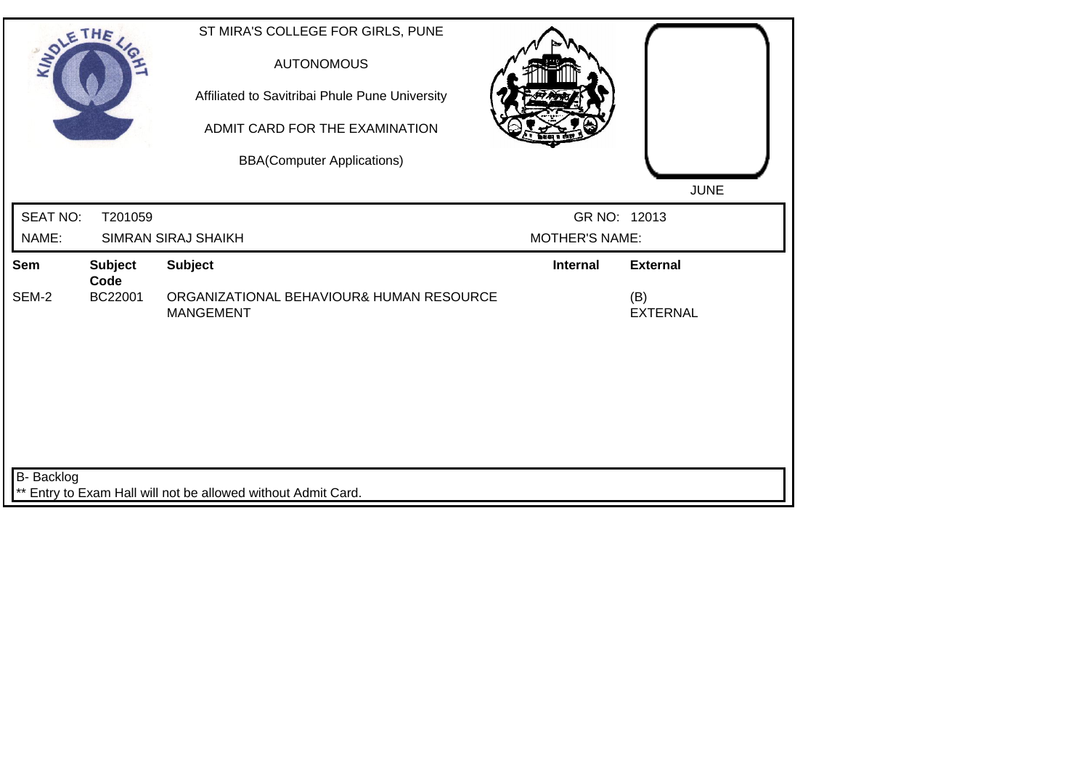| SOLE THE          |                        | ST MIRA'S COLLEGE FOR GIRLS, PUNE<br><b>AUTONOMOUS</b><br>Affiliated to Savitribai Phule Pune University<br>ADMIT CARD FOR THE EXAMINATION<br><b>BBA(Computer Applications)</b> |                       | <b>JUNE</b>            |
|-------------------|------------------------|---------------------------------------------------------------------------------------------------------------------------------------------------------------------------------|-----------------------|------------------------|
| <b>SEAT NO:</b>   | T201059                |                                                                                                                                                                                 | GR NO: 12013          |                        |
| NAME:             |                        | <b>SIMRAN SIRAJ SHAIKH</b>                                                                                                                                                      | <b>MOTHER'S NAME:</b> |                        |
| Sem               | <b>Subject</b><br>Code | <b>Subject</b>                                                                                                                                                                  | <b>Internal</b>       | <b>External</b>        |
| SEM-2             | BC22001                | ORGANIZATIONAL BEHAVIOUR& HUMAN RESOURCE<br><b>MANGEMENT</b>                                                                                                                    |                       | (B)<br><b>EXTERNAL</b> |
| <b>B-</b> Backlog |                        |                                                                                                                                                                                 |                       |                        |
|                   |                        | ** Entry to Exam Hall will not be allowed without Admit Card.                                                                                                                   |                       |                        |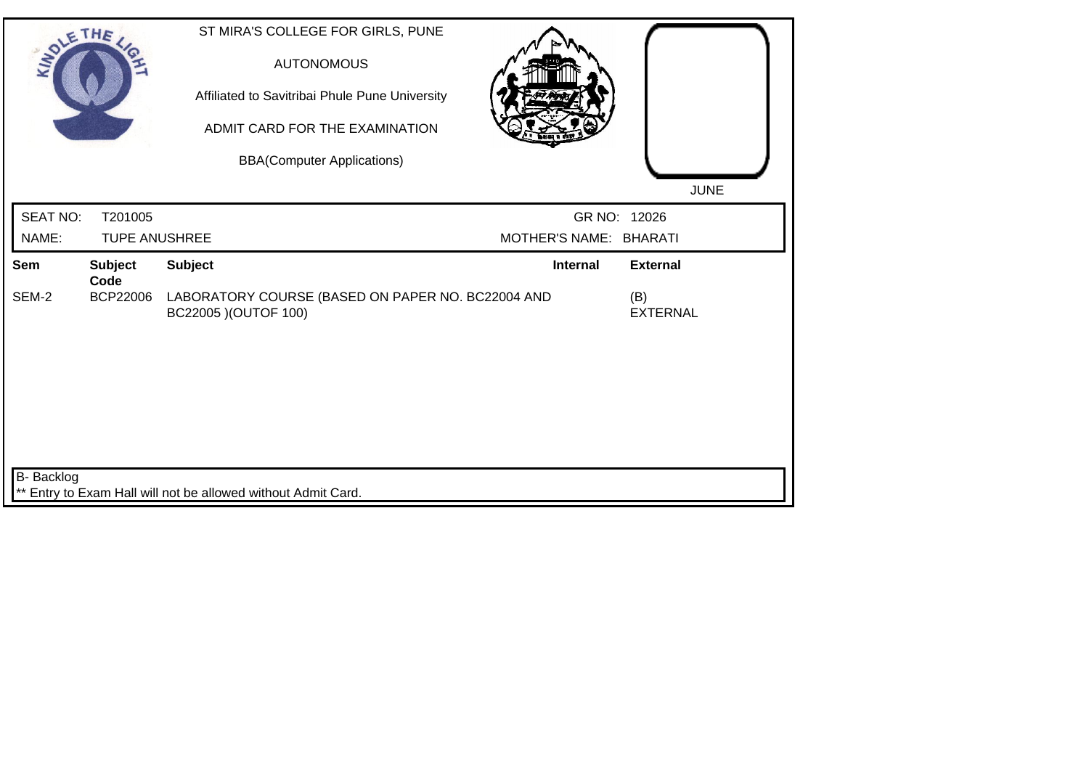| SOLE THE        |                        | ST MIRA'S COLLEGE FOR GIRLS, PUNE<br><b>AUTONOMOUS</b><br>Affiliated to Savitribai Phule Pune University<br>ADMIT CARD FOR THE EXAMINATION<br><b>BBA(Computer Applications)</b> |                        | <b>JUNE</b>            |
|-----------------|------------------------|---------------------------------------------------------------------------------------------------------------------------------------------------------------------------------|------------------------|------------------------|
| <b>SEAT NO:</b> | T201005                |                                                                                                                                                                                 |                        | GR NO: 12026           |
| NAME:           | <b>TUPE ANUSHREE</b>   |                                                                                                                                                                                 | MOTHER'S NAME: BHARATI |                        |
| Sem             | <b>Subject</b><br>Code | <b>Subject</b>                                                                                                                                                                  | <b>Internal</b>        | <b>External</b>        |
| SEM-2           | <b>BCP22006</b>        | LABORATORY COURSE (BASED ON PAPER NO. BC22004 AND<br>BC22005 ) (OUTOF 100)                                                                                                      |                        | (B)<br><b>EXTERNAL</b> |
| B- Backlog      |                        | ** Entry to Exam Hall will not be allowed without Admit Card.                                                                                                                   |                        |                        |
|                 |                        |                                                                                                                                                                                 |                        |                        |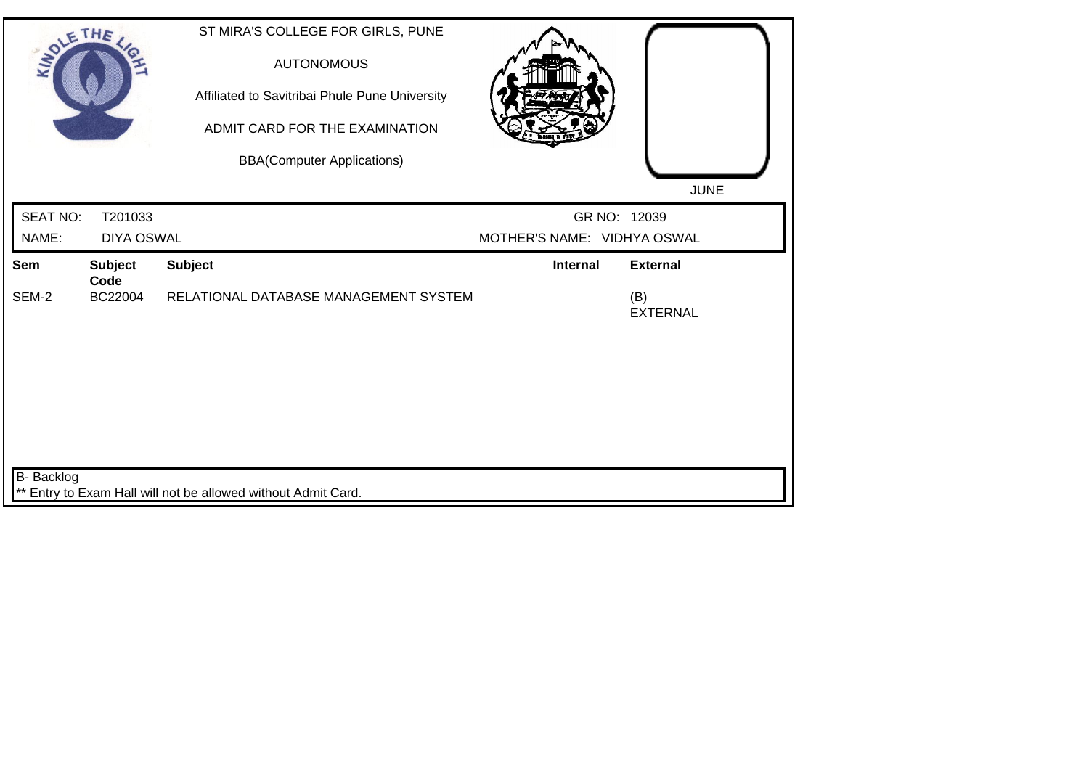| SOLETHE ,         |                                   | ST MIRA'S COLLEGE FOR GIRLS, PUNE<br><b>AUTONOMOUS</b><br>Affiliated to Savitribai Phule Pune University<br>ADMIT CARD FOR THE EXAMINATION<br><b>BBA(Computer Applications)</b> |                             | <b>JUNE</b>                               |
|-------------------|-----------------------------------|---------------------------------------------------------------------------------------------------------------------------------------------------------------------------------|-----------------------------|-------------------------------------------|
| <b>SEAT NO:</b>   | T201033                           |                                                                                                                                                                                 | GR NO: 12039                |                                           |
| NAME:             | <b>DIYA OSWAL</b>                 |                                                                                                                                                                                 | MOTHER'S NAME: VIDHYA OSWAL |                                           |
| Sem<br>SEM-2      | <b>Subject</b><br>Code<br>BC22004 | <b>Subject</b><br>RELATIONAL DATABASE MANAGEMENT SYSTEM                                                                                                                         | <b>Internal</b>             | <b>External</b><br>(B)<br><b>EXTERNAL</b> |
|                   |                                   |                                                                                                                                                                                 |                             |                                           |
| <b>B-</b> Backlog |                                   | ** Entry to Exam Hall will not be allowed without Admit Card.                                                                                                                   |                             |                                           |
|                   |                                   |                                                                                                                                                                                 |                             |                                           |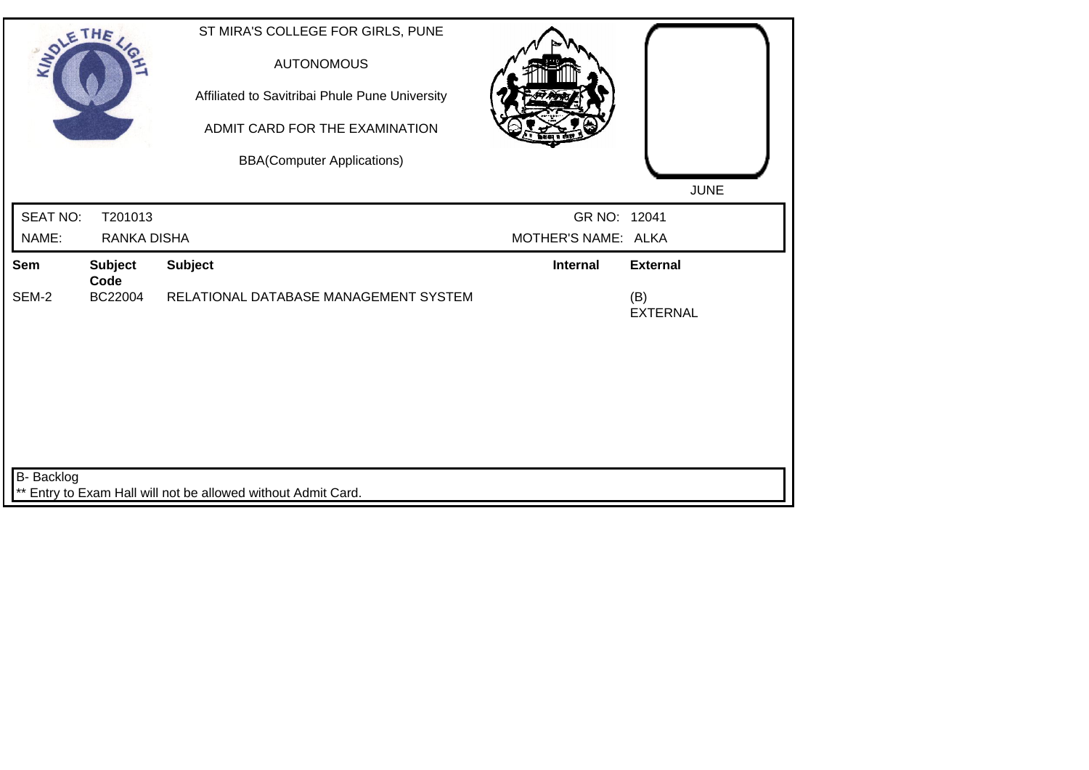| SOLETHE,        |                                   | ST MIRA'S COLLEGE FOR GIRLS, PUNE<br><b>AUTONOMOUS</b><br>Affiliated to Savitribai Phule Pune University<br>ADMIT CARD FOR THE EXAMINATION<br><b>BBA(Computer Applications)</b> |                     | <b>JUNE</b>            |
|-----------------|-----------------------------------|---------------------------------------------------------------------------------------------------------------------------------------------------------------------------------|---------------------|------------------------|
| <b>SEAT NO:</b> | T201013                           |                                                                                                                                                                                 | GR NO: 12041        |                        |
| NAME:           | <b>RANKA DISHA</b>                |                                                                                                                                                                                 | MOTHER'S NAME: ALKA |                        |
| Sem<br>SEM-2    | <b>Subject</b><br>Code<br>BC22004 | <b>Subject</b><br>RELATIONAL DATABASE MANAGEMENT SYSTEM                                                                                                                         | <b>Internal</b>     | <b>External</b><br>(B) |
|                 |                                   |                                                                                                                                                                                 |                     | <b>EXTERNAL</b>        |
|                 |                                   |                                                                                                                                                                                 |                     |                        |
|                 |                                   |                                                                                                                                                                                 |                     |                        |
|                 |                                   |                                                                                                                                                                                 |                     |                        |
| B- Backlog      |                                   |                                                                                                                                                                                 |                     |                        |
|                 |                                   | ** Entry to Exam Hall will not be allowed without Admit Card.                                                                                                                   |                     |                        |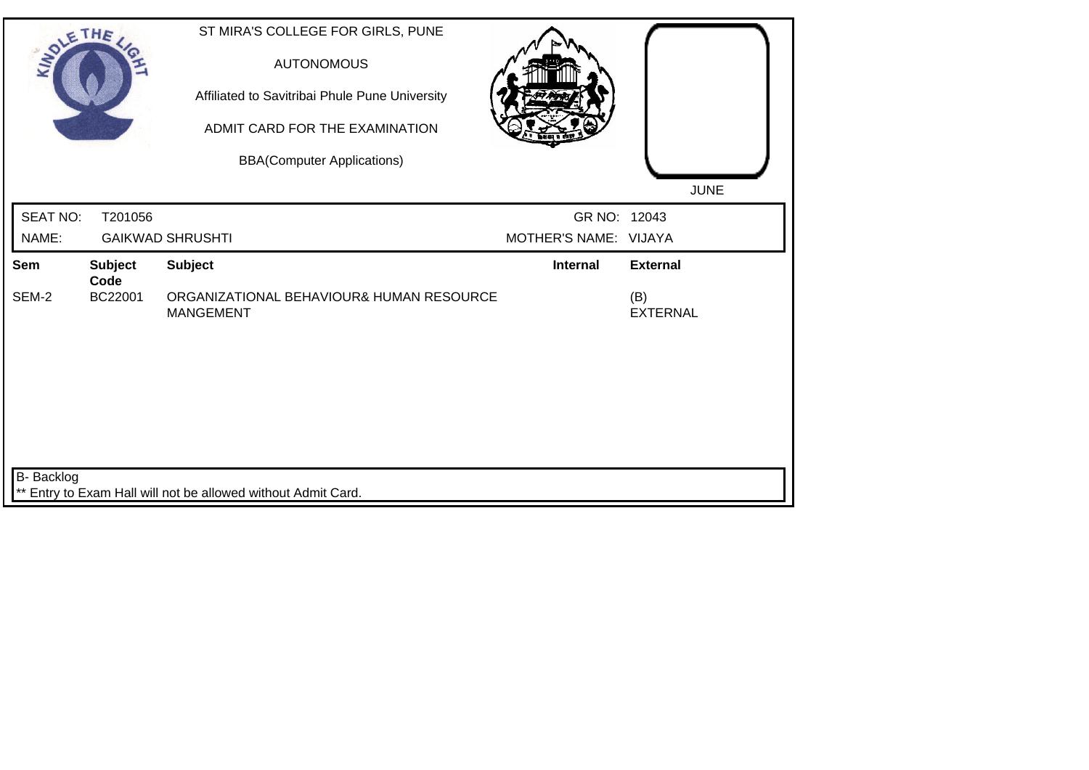| SOLETHE,          |                        | ST MIRA'S COLLEGE FOR GIRLS, PUNE<br><b>AUTONOMOUS</b><br>Affiliated to Savitribai Phule Pune University<br>ADMIT CARD FOR THE EXAMINATION<br><b>BBA(Computer Applications)</b> |                       | <b>JUNE</b>            |
|-------------------|------------------------|---------------------------------------------------------------------------------------------------------------------------------------------------------------------------------|-----------------------|------------------------|
| <b>SEAT NO:</b>   | T201056                |                                                                                                                                                                                 | GR NO: 12043          |                        |
| NAME:             |                        | <b>GAIKWAD SHRUSHTI</b>                                                                                                                                                         | MOTHER'S NAME: VIJAYA |                        |
| Sem               | <b>Subject</b><br>Code | <b>Subject</b>                                                                                                                                                                  | <b>Internal</b>       | <b>External</b>        |
| SEM-2             | BC22001                | ORGANIZATIONAL BEHAVIOUR& HUMAN RESOURCE<br><b>MANGEMENT</b>                                                                                                                    |                       | (B)<br><b>EXTERNAL</b> |
| <b>B-</b> Backlog |                        | ** Entry to Exam Hall will not be allowed without Admit Card.                                                                                                                   |                       |                        |
|                   |                        |                                                                                                                                                                                 |                       |                        |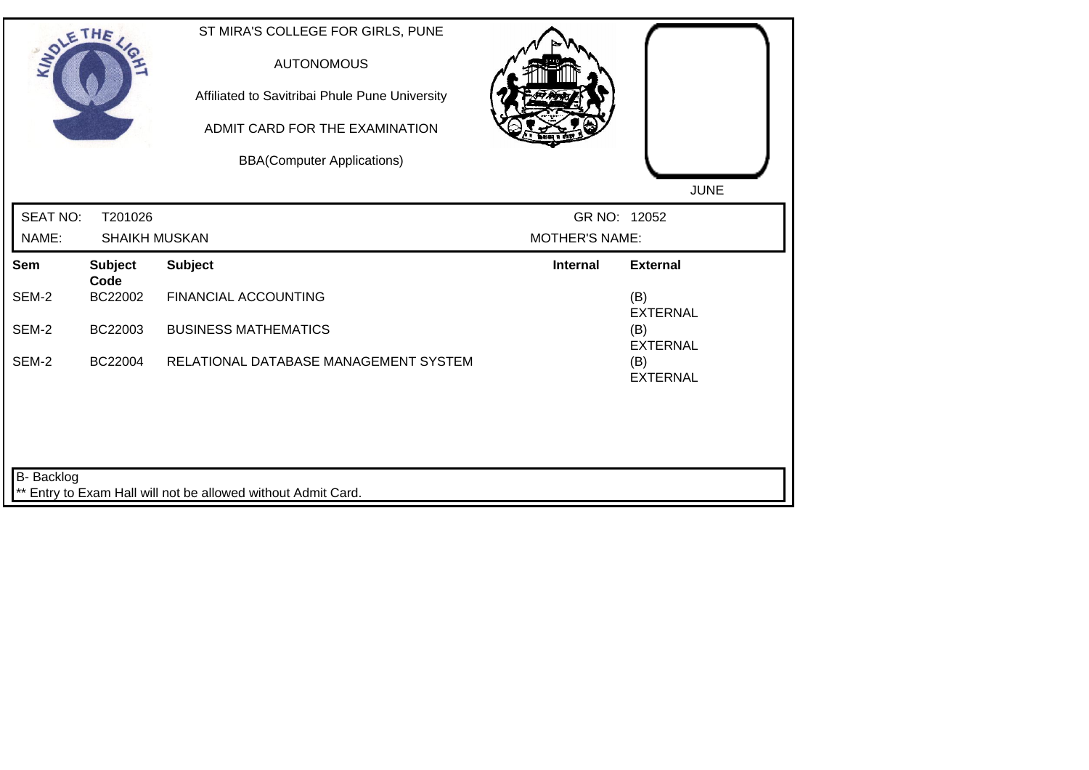| SOLETHE ,       |                        | ST MIRA'S COLLEGE FOR GIRLS, PUNE<br><b>AUTONOMOUS</b><br>Affiliated to Savitribai Phule Pune University<br>ADMIT CARD FOR THE EXAMINATION<br><b>BBA(Computer Applications)</b> |                       | <b>JUNE</b>            |
|-----------------|------------------------|---------------------------------------------------------------------------------------------------------------------------------------------------------------------------------|-----------------------|------------------------|
| <b>SEAT NO:</b> | T201026                |                                                                                                                                                                                 | GR NO: 12052          |                        |
| NAME:           | <b>SHAIKH MUSKAN</b>   |                                                                                                                                                                                 | <b>MOTHER'S NAME:</b> |                        |
| Sem             | <b>Subject</b><br>Code | <b>Subject</b>                                                                                                                                                                  | <b>Internal</b>       | <b>External</b>        |
| SEM-2           | BC22002                | <b>FINANCIAL ACCOUNTING</b>                                                                                                                                                     |                       | (B)<br><b>EXTERNAL</b> |
| SEM-2           | BC22003                | <b>BUSINESS MATHEMATICS</b>                                                                                                                                                     |                       | (B)<br><b>EXTERNAL</b> |
| SEM-2           | BC22004                | RELATIONAL DATABASE MANAGEMENT SYSTEM                                                                                                                                           |                       | (B)<br><b>EXTERNAL</b> |
| B- Backlog      |                        | ** Entry to Exam Hall will not be allowed without Admit Card.                                                                                                                   |                       |                        |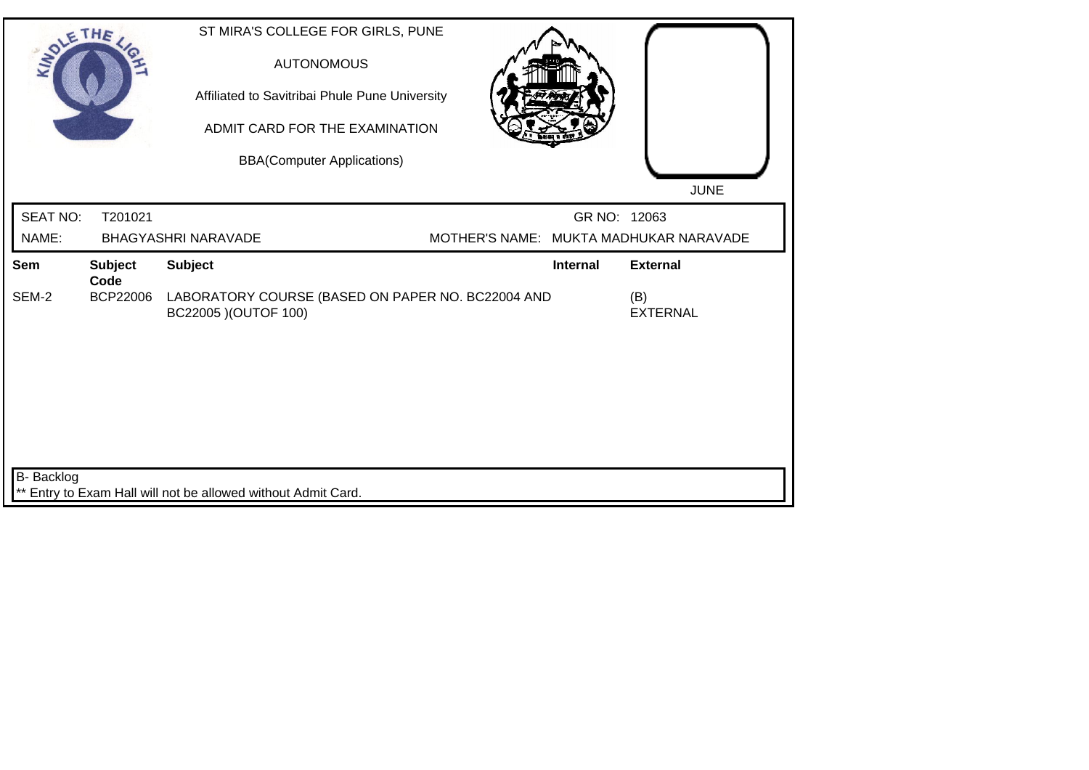| SOLETHE ,         |                        |                                                            | ST MIRA'S COLLEGE FOR GIRLS, PUNE<br><b>AUTONOMOUS</b><br>Affiliated to Savitribai Phule Pune University<br>ADMIT CARD FOR THE EXAMINATION<br><b>BBA(Computer Applications)</b> |              | <b>JUNE</b>                            |
|-------------------|------------------------|------------------------------------------------------------|---------------------------------------------------------------------------------------------------------------------------------------------------------------------------------|--------------|----------------------------------------|
| <b>SEAT NO:</b>   | T201021                |                                                            |                                                                                                                                                                                 | GR NO: 12063 |                                        |
| NAME:             |                        | <b>BHAGYASHRI NARAVADE</b>                                 |                                                                                                                                                                                 |              | MOTHER'S NAME: MUKTA MADHUKAR NARAVADE |
| Sem               | <b>Subject</b><br>Code | <b>Subject</b>                                             |                                                                                                                                                                                 | Internal     | <b>External</b>                        |
| SEM-2             | BCP22006               | BC22005 ) (OUTOF 100)                                      | LABORATORY COURSE (BASED ON PAPER NO. BC22004 AND                                                                                                                               |              | (B)<br><b>EXTERNAL</b>                 |
| <b>B-</b> Backlog |                        |                                                            |                                                                                                                                                                                 |              |                                        |
|                   |                        | Entry to Exam Hall will not be allowed without Admit Card. |                                                                                                                                                                                 |              |                                        |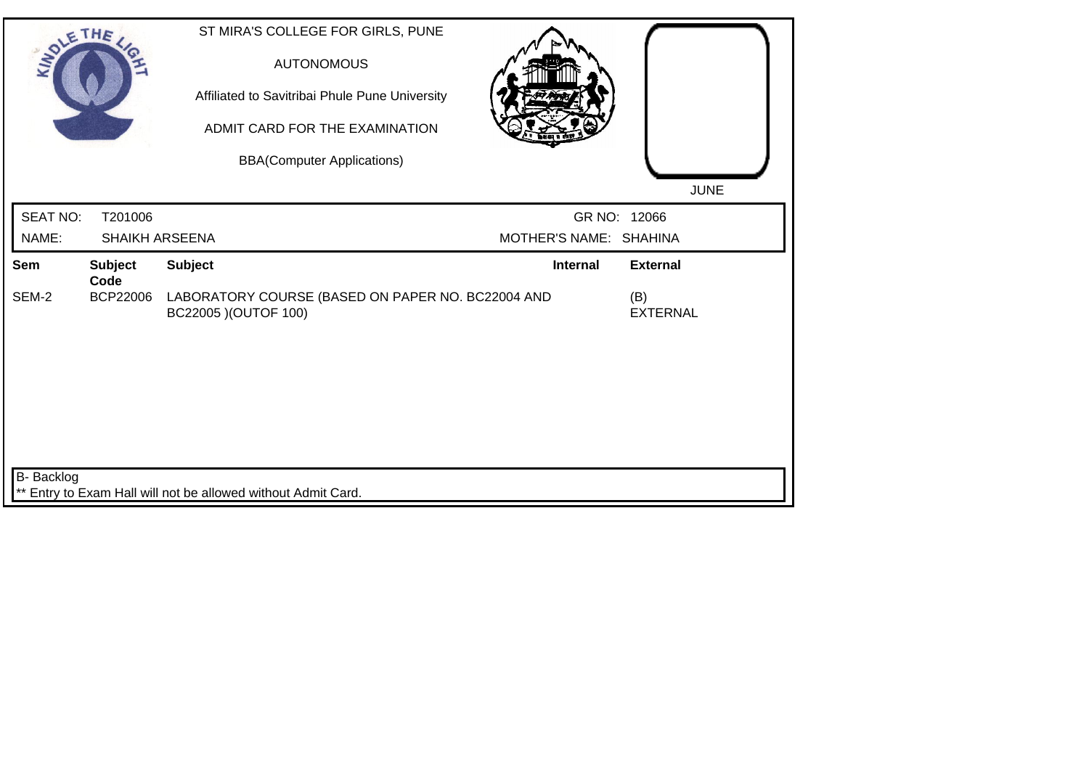| SOLE THE        |                        | ST MIRA'S COLLEGE FOR GIRLS, PUNE<br><b>AUTONOMOUS</b><br>Affiliated to Savitribai Phule Pune University<br>ADMIT CARD FOR THE EXAMINATION<br><b>BBA(Computer Applications)</b> |                        | <b>JUNE</b>            |
|-----------------|------------------------|---------------------------------------------------------------------------------------------------------------------------------------------------------------------------------|------------------------|------------------------|
| <b>SEAT NO:</b> | T201006                |                                                                                                                                                                                 |                        | GR NO: 12066           |
| NAME:           |                        | <b>SHAIKH ARSEENA</b>                                                                                                                                                           | MOTHER'S NAME: SHAHINA |                        |
| Sem             | <b>Subject</b><br>Code | <b>Subject</b>                                                                                                                                                                  | <b>Internal</b>        | <b>External</b>        |
| SEM-2           | <b>BCP22006</b>        | LABORATORY COURSE (BASED ON PAPER NO. BC22004 AND<br>BC22005 ) (OUTOF 100)                                                                                                      |                        | (B)<br><b>EXTERNAL</b> |
| B- Backlog      |                        |                                                                                                                                                                                 |                        |                        |
|                 |                        | ** Entry to Exam Hall will not be allowed without Admit Card.                                                                                                                   |                        |                        |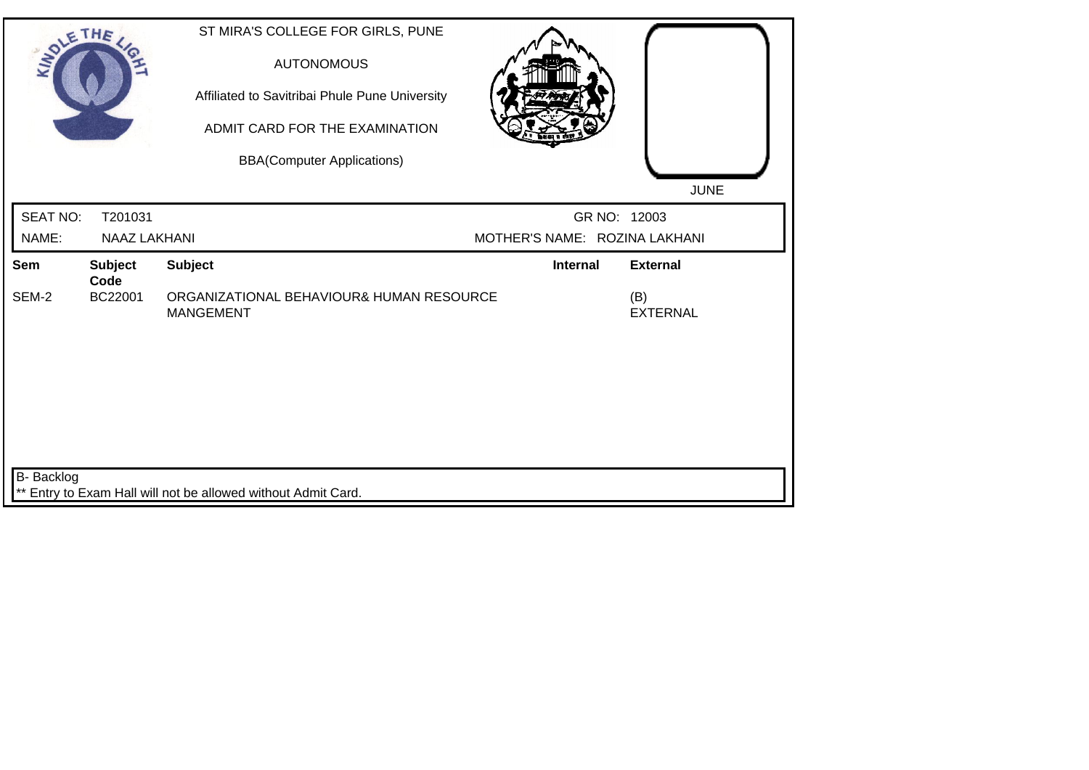| SOLETHE .       |                        | ST MIRA'S COLLEGE FOR GIRLS, PUNE<br><b>AUTONOMOUS</b><br>Affiliated to Savitribai Phule Pune University<br>ADMIT CARD FOR THE EXAMINATION<br><b>BBA(Computer Applications)</b> |                               | <b>JUNE</b>            |
|-----------------|------------------------|---------------------------------------------------------------------------------------------------------------------------------------------------------------------------------|-------------------------------|------------------------|
| <b>SEAT NO:</b> | T201031                |                                                                                                                                                                                 |                               | GR NO: 12003           |
| NAME:           | <b>NAAZ LAKHANI</b>    |                                                                                                                                                                                 | MOTHER'S NAME: ROZINA LAKHANI |                        |
| Sem             | <b>Subject</b><br>Code | <b>Subject</b>                                                                                                                                                                  | Internal                      | <b>External</b>        |
| SEM-2           | BC22001                | ORGANIZATIONAL BEHAVIOUR& HUMAN RESOURCE<br><b>MANGEMENT</b>                                                                                                                    |                               | (B)<br><b>EXTERNAL</b> |
| B- Backlog      |                        | ** Entry to Exam Hall will not be allowed without Admit Card.                                                                                                                   |                               |                        |
|                 |                        |                                                                                                                                                                                 |                               |                        |